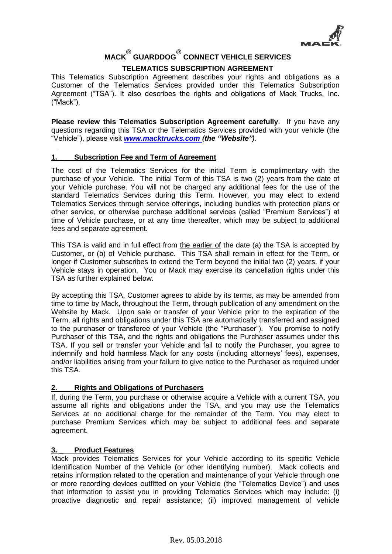

# **MACK® GUARDDOG® CONNECT VEHICLE SERVICES TELEMATICS SUBSCRIPTION AGREEMENT**

This Telematics Subscription Agreement describes your rights and obligations as a Customer of the Telematics Services provided under this Telematics Subscription Agreement ("TSA"). It also describes the rights and obligations of Mack Trucks, Inc. ("Mack").

**Please review this Telematics Subscription Agreement carefully**. If you have any questions regarding this TSA or the Telematics Services provided with your vehicle (the "Vehicle"), please visit *[www.macktrucks.com \(](http://www.macktrucks.com/)the "Website").*

## **1. \_ Subscription Fee and Term of Agreement**

The cost of the Telematics Services for the initial Term is complimentary with the purchase of your Vehicle. The initial Term of this TSA is two (2) years from the date of your Vehicle purchase. You will not be charged any additional fees for the use of the standard Telematics Services during this Term. However, you may elect to extend Telematics Services through service offerings, including bundles with protection plans or other service, or otherwise purchase additional services (called "Premium Services") at time of Vehicle purchase, or at any time thereafter, which may be subject to additional fees and separate agreement.

This TSA is valid and in full effect from the earlier of the date (a) the TSA is accepted by Customer, or (b) of Vehicle purchase. This TSA shall remain in effect for the Term, or longer if Customer subscribes to extend the Term beyond the initial two (2) years, if your Vehicle stays in operation. You or Mack may exercise its cancellation rights under this TSA as further explained below.

By accepting this TSA, Customer agrees to abide by its terms, as may be amended from time to time by Mack, throughout the Term, through publication of any amendment on the Website by Mack. Upon sale or transfer of your Vehicle prior to the expiration of the Term, all rights and obligations under this TSA are automatically transferred and assigned to the purchaser or transferee of your Vehicle (the "Purchaser"). You promise to notify Purchaser of this TSA, and the rights and obligations the Purchaser assumes under this TSA. If you sell or transfer your Vehicle and fail to notify the Purchaser, you agree to indemnify and hold harmless Mack for any costs (including attorneys' fees), expenses, and/or liabilities arising from your failure to give notice to the Purchaser as required under this TSA.

#### **2. Rights and Obligations of Purchasers**

If, during the Term, you purchase or otherwise acquire a Vehicle with a current TSA, you assume all rights and obligations under the TSA, and you may use the Telematics Services at no additional charge for the remainder of the Term. You may elect to purchase Premium Services which may be subject to additional fees and separate agreement.

# **3. \_ Product Features**

Mack provides Telematics Services for your Vehicle according to its specific Vehicle Identification Number of the Vehicle (or other identifying number). Mack collects and retains information related to the operation and maintenance of your Vehicle through one or more recording devices outfitted on your Vehicle (the "Telematics Device") and uses that information to assist you in providing Telematics Services which may include: (i) proactive diagnostic and repair assistance; (ii) improved management of vehicle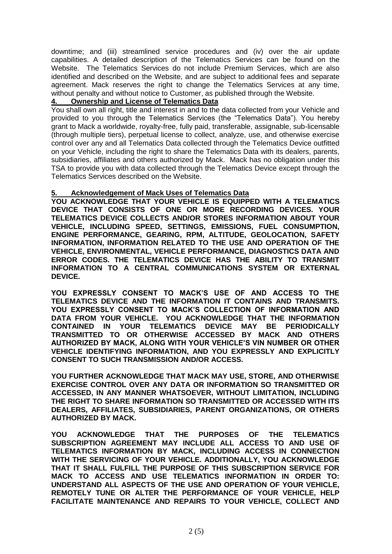downtime; and (iii) streamlined service procedures and (iv) over the air update capabilities. A detailed description of the Telematics Services can be found on the Website. The Telematics Services do not include Premium Services, which are also identified and described on the Website, and are subject to additional fees and separate agreement. Mack reserves the right to change the Telematics Services at any time, without penalty and without notice to Customer, as published through the Website.

#### **4. Ownership and License of Telematics Data**

You shall own all right, title and interest in and to the data collected from your Vehicle and provided to you through the Telematics Services (the "Telematics Data"). You hereby grant to Mack a worldwide, royalty-free, fully paid, transferable, assignable, sub-licensable (through multiple tiers), perpetual license to collect, analyze, use, and otherwise exercise control over any and all Telematics Data collected through the Telematics Device outfitted on your Vehicle, including the right to share the Telematics Data with its dealers, parents, subsidiaries, affiliates and others authorized by Mack. Mack has no obligation under this TSA to provide you with data collected through the Telematics Device except through the Telematics Services described on the Website.

## **5. Acknowledgement of Mack Uses of Telematics Data**

**YOU ACKNOWLEDGE THAT YOUR VEHICLE IS EQUIPPED WITH A TELEMATICS DEVICE THAT CONSISTS OF ONE OR MORE RECORDING DEVICES. YOUR TELEMATICS DEVICE COLLECTS AND/OR STORES INFORMATION ABOUT YOUR VEHICLE, INCLUDING SPEED, SETTINGS, EMISSIONS, FUEL CONSUMPTION, ENGINE PERFORMANCE, GEARING, RPM, ALTITUDE, GEOLOCATION, SAFETY INFORMATION, INFORMATION RELATED TO THE USE AND OPERATION OF THE VEHICLE, ENVIRONMENTAL, VEHICLE PERFORMANCE, DIAGNOSTICS DATA AND ERROR CODES. THE TELEMATICS DEVICE HAS THE ABILITY TO TRANSMIT INFORMATION TO A CENTRAL COMMUNICATIONS SYSTEM OR EXTERNAL DEVICE.** 

**YOU EXPRESSLY CONSENT TO MACK'S USE OF AND ACCESS TO THE TELEMATICS DEVICE AND THE INFORMATION IT CONTAINS AND TRANSMITS. YOU EXPRESSLY CONSENT TO MACK'S COLLECTION OF INFORMATION AND DATA FROM YOUR VEHICLE. YOU ACKNOWLEDGE THAT THE INFORMATION CONTAINED IN YOUR TELEMATICS DEVICE MAY BE PERIODICALLY TRANSMITTED TO OR OTHERWISE ACCESSED BY MACK AND OTHERS AUTHORIZED BY MACK, ALONG WITH YOUR VEHICLE'S VIN NUMBER OR OTHER VEHICLE IDENTIFYING INFORMATION, AND YOU EXPRESSLY AND EXPLICITLY CONSENT TO SUCH TRANSMISSION AND/OR ACCESS.**

**YOU FURTHER ACKNOWLEDGE THAT MACK MAY USE, STORE, AND OTHERWISE EXERCISE CONTROL OVER ANY DATA OR INFORMATION SO TRANSMITTED OR ACCESSED, IN ANY MANNER WHATSOEVER, WITHOUT LIMITATION, INCLUDING THE RIGHT TO SHARE INFORMATION SO TRANSMITTED OR ACCESSED WITH ITS DEALERS, AFFILIATES, SUBSIDIARIES, PARENT ORGANIZATIONS, OR OTHERS AUTHORIZED BY MACK.** 

**YOU ACKNOWLEDGE THAT THE PURPOSES OF THE TELEMATICS SUBSCRIPTION AGREEMENT MAY INCLUDE ALL ACCESS TO AND USE OF TELEMATICS INFORMATION BY MACK, INCLUDING ACCESS IN CONNECTION WITH THE SERVICING OF YOUR VEHICLE. ADDITIONALLY, YOU ACKNOWLEDGE THAT IT SHALL FULFILL THE PURPOSE OF THIS SUBSCRIPTION SERVICE FOR MACK TO ACCESS AND USE TELEMATICS INFORMATION IN ORDER TO: UNDERSTAND ALL ASPECTS OF THE USE AND OPERATION OF YOUR VEHICLE, REMOTELY TUNE OR ALTER THE PERFORMANCE OF YOUR VEHICLE, HELP FACILITATE MAINTENANCE AND REPAIRS TO YOUR VEHICLE, COLLECT AND**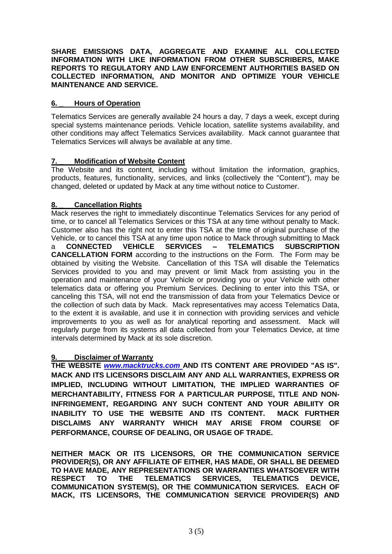**SHARE EMISSIONS DATA, AGGREGATE AND EXAMINE ALL COLLECTED INFORMATION WITH LIKE INFORMATION FROM OTHER SUBSCRIBERS, MAKE REPORTS TO REGULATORY AND LAW ENFORCEMENT AUTHORITIES BASED ON COLLECTED INFORMATION, AND MONITOR AND OPTIMIZE YOUR VEHICLE MAINTENANCE AND SERVICE.** 

## **6. \_ Hours of Operation**

Telematics Services are generally available 24 hours a day, 7 days a week, except during special systems maintenance periods. Vehicle location, satellite systems availability, and other conditions may affect Telematics Services availability. Mack cannot guarantee that Telematics Services will always be available at any time.

# **7. \_ Modification of Website Content**

The Website and its content, including without limitation the information, graphics, products, features, functionality, services, and links (collectively the "Content"), may be changed, deleted or updated by Mack at any time without notice to Customer.

## **8. \_ Cancellation Rights**

Mack reserves the right to immediately discontinue Telematics Services for any period of time, or to cancel all Telematics Services or this TSA at any time without penalty to Mack. Customer also has the right not to enter this TSA at the time of original purchase of the Vehicle, or to cancel this TSA at any time upon notice to Mack through submitting to Mack a **CONNECTED VEHICLE SERVICES – TELEMATICS SUBSCRIPTION CANCELLATION FORM** according to the instructions on the Form. The Form may be obtained by visiting the Website. Cancellation of this TSA will disable the Telematics Services provided to you and may prevent or limit Mack from assisting you in the operation and maintenance of your Vehicle or providing you or your Vehicle with other telematics data or offering you Premium Services. Declining to enter into this TSA, or canceling this TSA, will not end the transmission of data from your Telematics Device or the collection of such data by Mack. Mack representatives may access Telematics Data, to the extent it is available, and use it in connection with providing services and vehicle improvements to you as well as for analytical reporting and assessment. Mack will regularly purge from its systems all data collected from your Telematics Device, at time intervals determined by Mack at its sole discretion.

# **9. \_ Disclaimer of Warranty**

**THE WEBSITE** *[www.macktrucks.com](http://www.macktrucks.com/)* **AND ITS CONTENT ARE PROVIDED "AS IS". MACK AND ITS LICENSORS DISCLAIM ANY AND ALL WARRANTIES, EXPRESS OR IMPLIED, INCLUDING WITHOUT LIMITATION, THE IMPLIED WARRANTIES OF MERCHANTABILITY, FITNESS FOR A PARTICULAR PURPOSE, TITLE AND NON-INFRINGEMENT, REGARDING ANY SUCH CONTENT AND YOUR ABILIITY OR INABILITY TO USE THE WEBSITE AND ITS CONTENT. MACK FURTHER DISCLAIMS ANY WARRANTY WHICH MAY ARISE FROM COURSE OF PERFORMANCE, COURSE OF DEALING, OR USAGE OF TRADE.**

**NEITHER MACK OR ITS LICENSORS, OR THE COMMUNICATION SERVICE PROVIDER(S), OR ANY AFFILIATE OF EITHER, HAS MADE, OR SHALL BE DEEMED TO HAVE MADE, ANY REPRESENTATIONS OR WARRANTIES WHATSOEVER WITH RESPECT TO THE TELEMATICS SERVICES, TELEMATICS DEVICE, COMMUNICATION SYSTEM(S), OR THE COMMUNICATION SERVICES. EACH OF MACK, ITS LICENSORS, THE COMMUNICATION SERVICE PROVIDER(S) AND**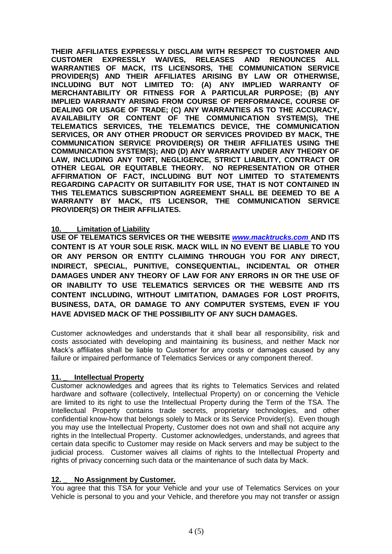**THEIR AFFILIATES EXPRESSLY DISCLAIM WITH RESPECT TO CUSTOMER AND CUSTOMER EXPRESSLY WAIVES, RELEASES AND RENOUNCES ALL WARRANTIES OF MACK, ITS LICENSORS, THE COMMUNICATION SERVICE PROVIDER(S) AND THEIR AFFILIATES ARISING BY LAW OR OTHERWISE, INCLUDING BUT NOT LIMITED TO: (A) ANY IMPLIED WARRANTY OF MERCHANTABILITY OR FITNESS FOR A PARTICULAR PURPOSE; (B) ANY IMPLIED WARRANTY ARISING FROM COURSE OF PERFORMANCE, COURSE OF DEALING OR USAGE OF TRADE; (C) ANY WARRANTIES AS TO THE ACCURACY, AVAILABILITY OR CONTENT OF THE COMMUNICATION SYSTEM(S), THE TELEMATICS SERVICES, THE TELEMATICS DEVICE, THE COMMUNICATION SERVICES, OR ANY OTHER PRODUCT OR SERVICES PROVIDED BY MACK, THE COMMUNICATION SERVICE PROVIDER(S) OR THEIR AFFILIATES USING THE COMMUNICATION SYSTEM(S); AND (D) ANY WARRANTY UNDER ANY THEORY OF LAW, INCLUDING ANY TORT, NEGLIGENCE, STRICT LIABILITY, CONTRACT OR OTHER LEGAL OR EQUITABLE THEORY. NO REPRESENTATION OR OTHER AFFIRMATION OF FACT, INCLUDING BUT NOT LIMITED TO STATEMENTS REGARDING CAPACITY OR SUITABILITY FOR USE, THAT IS NOT CONTAINED IN THIS TELEMATICS SUBSCRIPTION AGREEMENT SHALL BE DEEMED TO BE A WARRANTY BY MACK, ITS LICENSOR, THE COMMUNICATION SERVICE PROVIDER(S) OR THEIR AFFILIATES.**

#### **10. \_ Limitation of Liability**

**USE OF TELEMATICS SERVICES OR THE WEBSITE** *[www.macktrucks.com](http://www.macktrucks.com/)* **AND ITS CONTENT IS AT YOUR SOLE RISK. MACK WILL IN NO EVENT BE LIABLE TO YOU OR ANY PERSON OR ENTITY CLAIMING THROUGH YOU FOR ANY DIRECT, INDIRECT, SPECIAL, PUNITIVE, CONSEQUENTIAL, INCIDENTAL OR OTHER DAMAGES UNDER ANY THEORY OF LAW FOR ANY ERRORS IN OR THE USE OF OR INABILITY TO USE TELEMATICS SERVICES OR THE WEBSITE AND ITS CONTENT INCLUDING, WITHOUT LIMITATION, DAMAGES FOR LOST PROFITS, BUSINESS, DATA, OR DAMAGE TO ANY COMPUTER SYSTEMS, EVEN IF YOU HAVE ADVISED MACK OF THE POSSIBILITY OF ANY SUCH DAMAGES.**

Customer acknowledges and understands that it shall bear all responsibility, risk and costs associated with developing and maintaining its business, and neither Mack nor Mack's affiliates shall be liable to Customer for any costs or damages caused by any failure or impaired performance of Telematics Services or any component thereof.

#### **11. \_ Intellectual Property**

Customer acknowledges and agrees that its rights to Telematics Services and related hardware and software (collectively, Intellectual Property) on or concerning the Vehicle are limited to its right to use the Intellectual Property during the Term of the TSA. The Intellectual Property contains trade secrets, proprietary technologies, and other confidential know-how that belongs solely to Mack or its Service Provider(s). Even though you may use the Intellectual Property, Customer does not own and shall not acquire any rights in the Intellectual Property. Customer acknowledges, understands, and agrees that certain data specific to Customer may reside on Mack servers and may be subject to the judicial process. Customer waives all claims of rights to the Intellectual Property and rights of privacy concerning such data or the maintenance of such data by Mack.

#### **12. \_ No Assignment by Customer.**

You agree that this TSA for your Vehicle and your use of Telematics Services on your Vehicle is personal to you and your Vehicle, and therefore you may not transfer or assign